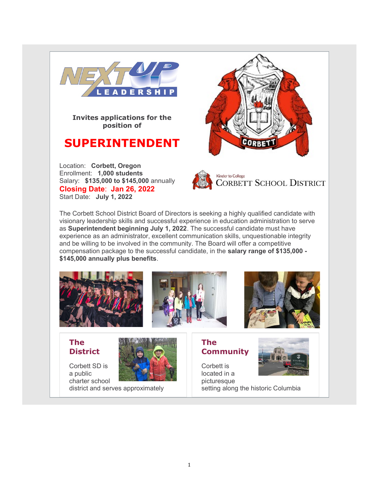

Invites applications for the position of

# SUPERINTENDENT

Location: Corbett, Oregon Enrollment: 1,000 students Salary: \$135,000 to \$145,000 annually Closing Date: Jan 26, 2022 Start Date: July 1, 2022





The Corbett School District Board of Directors is seeking a highly qualified candidate with visionary leadership skills and successful experience in education administration to serve as Superintendent beginning July 1, 2022. The successful candidate must have experience as an administrator, excellent communication skills, unquestionable integrity and be willing to be involved in the community. The Board will offer a competitive compensation package to the successful candidate, in the salary range of \$135,000 - \$145,000 annually plus benefits.



### The **District**



charter school district and serves approximately **Community** Corbett is

The



located in a picturesque setting along the historic Columbia

Corbett SD is a public



1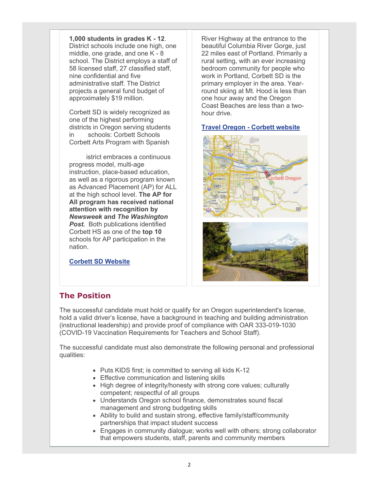1,000 students in grades K - 12. District schools include one high, one

middle, one grade, and one K - 8 school. The District employs a staff of 58 licensed staff, 27 classified staff, nine confidential and five administrative staff. The District projects a general fund budget of approximately \$19 million.

Corbett SD is widely recognized as one of the highest performing districts in Oregon serving students in two schools: Corbett Schools and Corbett Arts Program with Spanish.

The district embraces a continuous progress model, multi-age instruction, place-based education, as well as a rigorous program known as Advanced Placement (AP) for ALL at the high school level. The AP for All program has received national attention with recognition by Newsweek and The Washington **Post.** Both publications identified Corbett HS as one of the top 10 schools for AP participation in the nation.

Corbett SD Website

River Highway at the entrance to the beautiful Columbia River Gorge, just 22 miles east of Portland. Primarily a rural setting, with an ever increasing bedroom community for people who work in Portland, Corbett SD is the primary employer in the area. Yearround skiing at Mt. Hood is less than one hour away and the Oregon Coast Beaches are less than a twohour drive.

### Travel Oregon - Corbett website





### The Position

The successful candidate must hold or qualify for an Oregon superintendent's license, hold a valid driver's license, have a background in teaching and building administration (instructional leadership) and provide proof of compliance with OAR 333-019-1030 (COVID-19 Vaccination Requirements for Teachers and School Staff).

The successful candidate must also demonstrate the following personal and professional qualities:

- Puts KIDS first; is committed to serving all kids K-12
- **Effective communication and listening skills**
- High degree of integrity/honesty with strong core values; culturally competent; respectful of all groups
- Understands Oregon school finance, demonstrates sound fiscal management and strong budgeting skills
- Ability to build and sustain strong, effective family/staff/community partnerships that impact student success
- Engages in community dialogue; works well with others; strong collaborator that empowers students, staff, parents and community members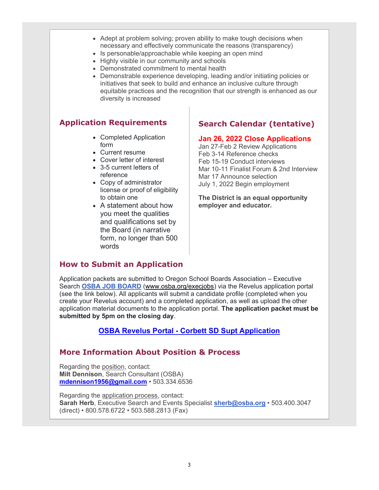- Adept at problem solving; proven ability to make tough decisions when necessary and effectively communicate the reasons (transparency)
- Is personable/approachable while keeping an open mind
- Highly visible in our community and schools
- Demonstrated commitment to mental health
- Demonstrable experience developing, leading and/or initiating policies or initiatives that seek to build and enhance an inclusive culture through equitable practices and the recognition that our strength is enhanced as our diversity is increased

### Application Requirements

- Completed Application form
- Current resume
- Cover letter of interest
- 3-5 current letters of reference
- Copy of administrator license or proof of eligibility to obtain one
- A statement about how you meet the qualities and qualifications set by the Board (in narrative form, no longer than 500 words

## Search Calendar (tentative)

#### Jan 26, 2022 Close Applications

Jan 27-Feb 2 Review Applications Feb 3-14 Reference checks Feb 15-19 Conduct interviews Mar 10-11 Finalist Forum & 2nd Interview Mar 17 Announce selection July 1, 2022 Begin employment

The District is an equal opportunity employer and educator.

### How to Submit an Application

Application packets are submitted to Oregon School Boards Association – Executive Search OSBA JOB BOARD (www.osba.org/execjobs) via the Revelus application portal (see the link below). All applicants will submit a candidate profile (completed when you create your Revelus account) and a completed application, as well as upload the other application material documents to the application portal. The application packet must be submitted by 5pm on the closing day.

### OSBA Revelus Portal - Corbett SD Supt Application

### More Information About Position & Process

Regarding the position, contact: Milt Dennison, Search Consultant (OSBA) mdennison1956@gmail.com • 503.334.6536

Regarding the application process, contact: Sarah Herb, Executive Search and Events Specialist sherb@osba.org • 503.400.3047 (direct) • 800.578.6722 • 503.588.2813 (Fax)